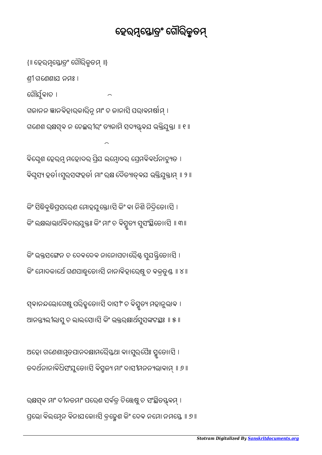ରକ୍ଷସ୍ଵ ମାଂ ଦୀନତମାଂ ପରେଶ ସର୍ବତ୍ର ଚିତ୍ତେଷୁ ଚ ସଂସ୍ଥିତସ୍ତ୍ର୍ବମ୍ । ପ୍ରଭୋ ବିଲମ୍ନେନ ବିନାଯକୋଽସି ବୁହେଶ କିଂ ଦେବ ନମୋ ନମସ୍ତେ ॥ ୭ ॥

ଅହୋ ଗଣେଶାମୃତପାନଦକ୍ଷାମରୈ୍ୟଥା ବାଽସୁରପୈଃ ସ୍ମୃତୋଽସି । ତଦର୍ଥନାନାବିଧିସଂଯୁତୋଽସି ବିସ୍ଚୁଜ୍ୟ ମାଂ ଦାସୀମନନ୍ୟଭାବାମ୍ ॥ ୬ ॥

ସ୍ଵାନନ୍ଦଭୋଗେଷୁ ପର୍ଢଡହୁତୋଽସ ଦାସୀଂ ଚ ବସ୍ମୃତ୍ୟ ମହାନୁଭାବ । ଆନନ୍ତ୍ୟଲୀଲାସୁ ଚ ଲାଲସୋଽସି କିଂ ଭକ୍ତରକ୍ଷାର୍ଥସୁସଙ୍କଟସ୍ଥଃ ॥ ୫ ॥

କିଂ ଭକ୍ତସଙ୍ଗେନ ଚ ଦେବଦେବ ନାନୋପଚାର୍ଭୈଣ୍ଟ ସୁଯନ୍ତ୍ରିତୋର୍ଥ୍ତେ । କିଂ ମୋଦକାର୍ଥେ ଗଣପାକ୍ଚୁତୋଽସି ନାନାବିହାରେଷୁ ଚ ବକ୍ରବୁଣ୍ଡ ॥ ୪ ॥

କିଂ ସିଦ୍ଧିବୁଦ୍ଧିପ୍ରସରେଣ ମୋହଯୁକ୍ତୋଽସି କିଂ ବା ନିଶି ନିଦ୍ରିତୋଽସି । କିଂ ଲକ୍ଷଲାଭାର୍ଥବିଚାରଯୁକ୍ତଃ କିଂ ମାଂ ଚ ବିସ୍ମୃତ୍ୟ ସୁସଂସ୍ଥିତୋଽସି ॥ ୩॥

ବିଘ୍ନେଶ ହେରମ୍ଭ ମହୋଦର ପ୍ରିଯ ଲମ୍ଭୋଦର ପ୍ରେମବିବର୍ଧନାଚ୍ୟୁତ । ବଘୃସ୍ୟ ହତାଽସୁର୍ସଙ୍କହତା ମାଂ ରକ୍ଷ ଦେତ୍ୟାତ୍ବଯ ଭ୍ଇଯୁକ୍ତାମ୍ ॥ ୨ ॥

ଗୌର୍ଯୁବାଚ । ଗଜାନନ ଜ୍ଞାନବିହାରକାରିନ୍ନ ମାଂ ଚ ଜାନାସି ପରାବମର୍ଷାମ୍ । ଗଣେଶ ରକ୍ଷସ୍ଵ ନ ଚେଚ୍ଛରୀରଂ ତ୍ୟଜାମ ସଦ୍ୟୟ୍ବଯ ଭକ୍ତଯୁକ୍ତା ॥ ୧ ॥

ଶୀ ଗେଣଶାଯ ନମଃ ।

{॥ ହେର୍ମସ୍ତୋତ୍ଂ ଗୌରିକୃତମ୍ ॥}

## ହେରମ୍ଭସ୍ତୋତ୍ରଂ ଗୌରିକୁତମ୍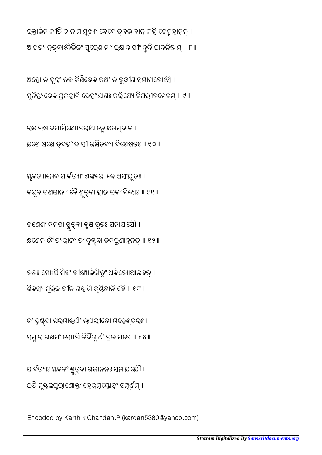Encoded by Karthik Chandan.P (kardan5380@yahoo.com)

ପାର୍ବତ୍ୟାଃ ସ୍ତବନଂ ଶୁତ୍ତ୍ବା ଗଜାନନଃ ସମାଯଯୌ । ଇତି ମୁଦ୍କଲପୁରାଶୋକ୍ତଂ ହେରମ୍ବସ୍ତୋତ୍ରଂ ସମ୍ପୂର୍ଣମ୍ ।

ତଂ ଦୃଷ୍ଟବା ପର୍ମାଣ୍ଟର୍ଯଂ ଭଯଭୀତୋ ମହେଶ୍ବରଃ । ସସ୍ମାର ଗଣପଂ ସୋଽପି ନିର୍ବିଘ୍ୱାର୍ଥଂ ପ୍ରଜାପତେ ॥ ୧୪ ॥

ତତଃ ସୋଽପି ଶିବଂ ବୀକ୍ଷ୍ୟାଲିଙ୍ଗିତୁଂ ଧବିତୋ।ଆଭବତ୍ । ଶିବସ୍ୟ ଶୂଲିକାଦୀନି ଶସ୍ତାଣି କୁଣ୍ଠିତାନି ବୈ ॥ ୧୩॥

ଗଣେଶଂ ମନସା ସ୍ମୃତ୍ତା ବୃଷାରୂଡଃ ସମାଯଯୋ । କ୍ଷଣେନ ଦୈତ୍ୟରାଜଂ ତଂ ଦୃଷ୍ଟ୍ବା ଡମରୁଣାହନତ୍ ॥ ୧୨॥

ସ୍ତୁବତ୍ୟାମେବ ପାର୍ବତ୍ୟାଂ ଶଙ୍କରେ। ବୋଧସଂଯୁତଃ । ବଭୂବ ଗଣପାନାଂ ବୈ ଶୁତ୍ବା ହାହାରବଂ ବିଧେଃ ॥ ୧୧॥

ରକ୍ଷ ରକ୍ଷ ଦଯାସିନ୍ଧୋସେରାଧାନ୍ମେ କ୍ଷମସ୍*ବ* ଚ । କ୍ଷଣେ କ୍ଷଣେ ତ୍ବହଂ ଦାସୀ ରକ୍ଷିତବ୍ୟା ବିଶେଷତଃ ॥ ୧୦ ॥

ଅହୋ ନ ଦୂରଂ ତବ କିଞ୍ଚିଦେବ କଥଂ ନ ବୁଦ୍ଧୀଶ ସମାଗତୋଽସି । ସୁଚିନ୍ତ୍ୟଦେବ ପ୍ରଜହାମି ଦେହଂ ଯଶଃ କରିଷ୍ୟେ ବିପରୀତମେବମ୍ ॥ ୯ ॥

ଭକ୍ତାଭିମାନୀତି ଚ ନାମ ମୁଖ୍ୟଂ ବେଦେ ତ୍ବଭାବାନ୍ ନହି ଚେନୁହାମୂନ୍ । ଆଗତ୍ୟ ହତ୍ବାଽଦିତିଜଂ ସୁରେଶ ମାଂ ରକ୍ଷ ଦାସୀଂ ଦ୍ରୁଦି ପାଦନିଷ୍ଠାମ୍ ॥ ୮ ॥